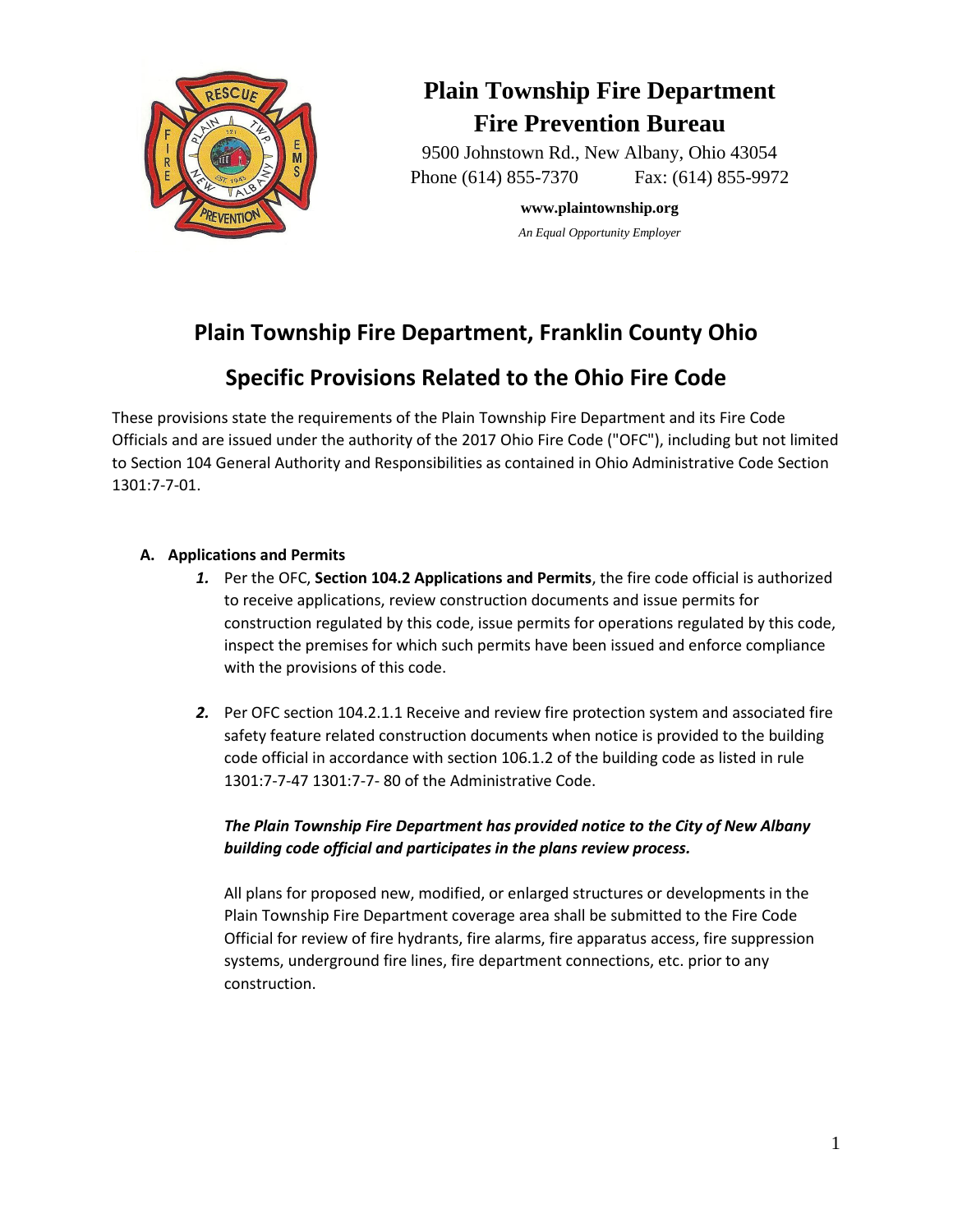

# **Plain Township Fire Department Fire Prevention Bureau**

9500 Johnstown Rd., New Albany, Ohio 43054 Phone (614) 855-7370 Fax: (614) 855-9972

> **www.plaintownship.org** *An Equal Opportunity Employer*

## **Plain Township Fire Department, Franklin County Ohio**

## **Specific Provisions Related to the Ohio Fire Code**

These provisions state the requirements of the Plain Township Fire Department and its Fire Code Officials and are issued under the authority of the 2017 Ohio Fire Code ("OFC"), including but not limited to Section 104 General Authority and Responsibilities as contained in Ohio Administrative Code Section 1301:7-7-01.

## **A. Applications and Permits**

- *1.* Per the OFC, **Section 104.2 Applications and Permits**, the fire code official is authorized to receive applications, review construction documents and issue permits for construction regulated by this code, issue permits for operations regulated by this code, inspect the premises for which such permits have been issued and enforce compliance with the provisions of this code.
- *2.* Per OFC section 104.2.1.1 Receive and review fire protection system and associated fire safety feature related construction documents when notice is provided to the building code official in accordance with section 106.1.2 of the building code as listed in rule 1301:7-7-47 1301:7-7- 80 of the Administrative Code.

## *The Plain Township Fire Department has provided notice to the City of New Albany building code official and participates in the plans review process.*

All plans for proposed new, modified, or enlarged structures or developments in the Plain Township Fire Department coverage area shall be submitted to the Fire Code Official for review of fire hydrants, fire alarms, fire apparatus access, fire suppression systems, underground fire lines, fire department connections, etc. prior to any construction.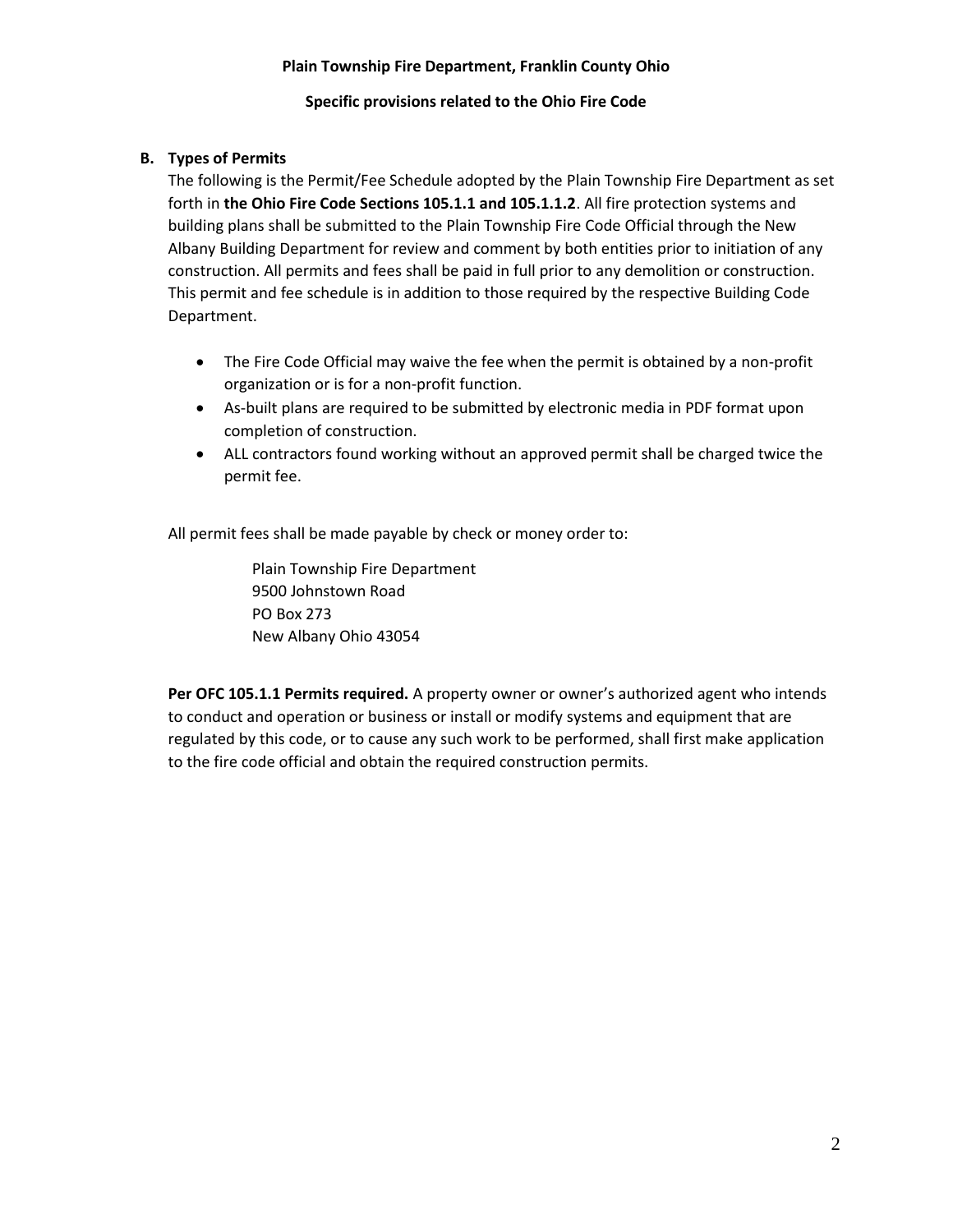#### **Specific provisions related to the Ohio Fire Code**

#### **B. Types of Permits**

The following is the Permit/Fee Schedule adopted by the Plain Township Fire Department as set forth in **the Ohio Fire Code Sections 105.1.1 and 105.1.1.2**. All fire protection systems and building plans shall be submitted to the Plain Township Fire Code Official through the New Albany Building Department for review and comment by both entities prior to initiation of any construction. All permits and fees shall be paid in full prior to any demolition or construction. This permit and fee schedule is in addition to those required by the respective Building Code Department.

- The Fire Code Official may waive the fee when the permit is obtained by a non-profit organization or is for a non-profit function.
- As-built plans are required to be submitted by electronic media in PDF format upon completion of construction.
- ALL contractors found working without an approved permit shall be charged twice the permit fee.

All permit fees shall be made payable by check or money order to:

Plain Township Fire Department 9500 Johnstown Road PO Box 273 New Albany Ohio 43054

**Per OFC 105.1.1 Permits required.** A property owner or owner's authorized agent who intends to conduct and operation or business or install or modify systems and equipment that are regulated by this code, or to cause any such work to be performed, shall first make application to the fire code official and obtain the required construction permits.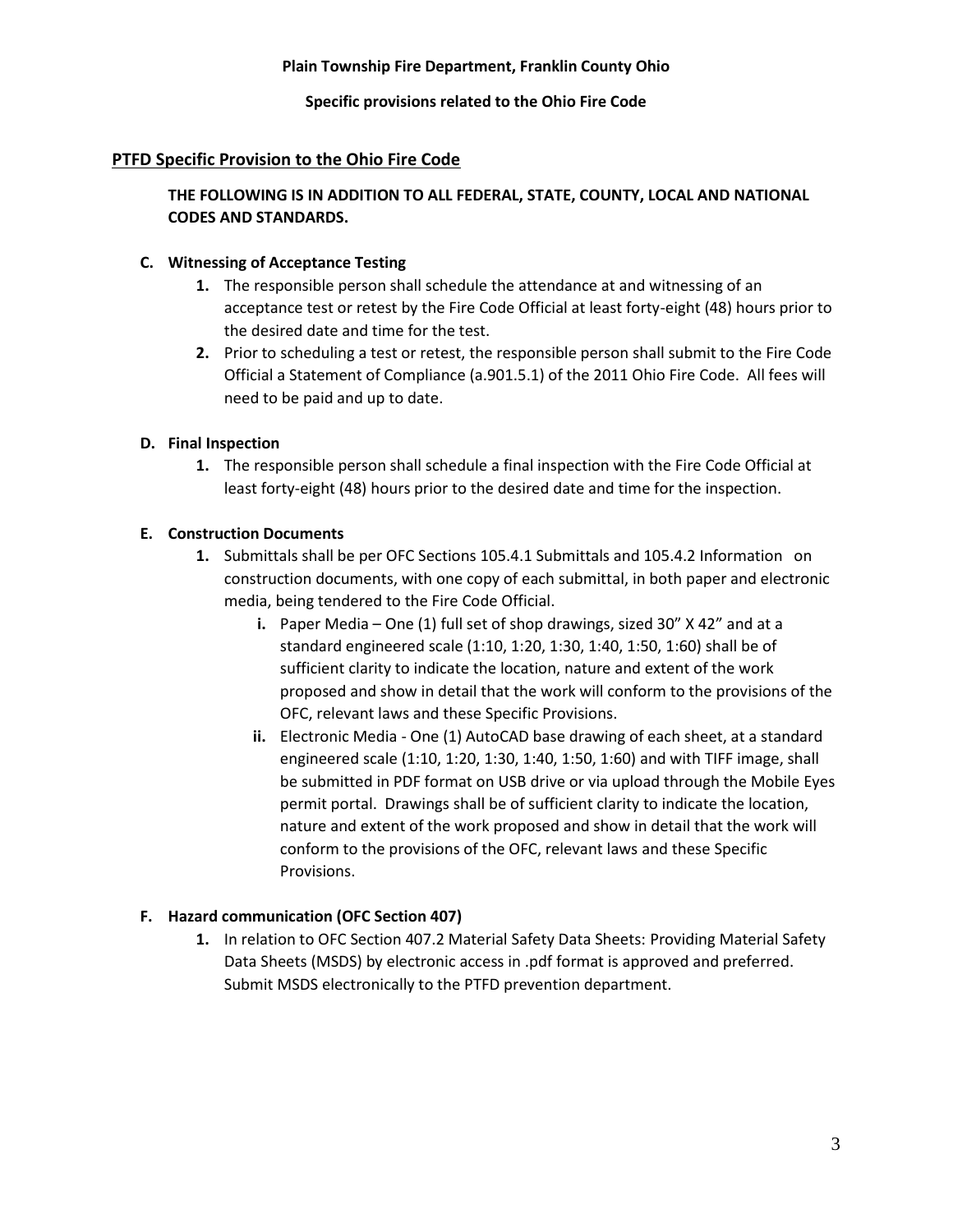**Specific provisions related to the Ohio Fire Code**

## **PTFD Specific Provision to the Ohio Fire Code**

## **THE FOLLOWING IS IN ADDITION TO ALL FEDERAL, STATE, COUNTY, LOCAL AND NATIONAL CODES AND STANDARDS.**

## **C. Witnessing of Acceptance Testing**

- **1.** The responsible person shall schedule the attendance at and witnessing of an acceptance test or retest by the Fire Code Official at least forty-eight (48) hours prior to the desired date and time for the test.
- **2.** Prior to scheduling a test or retest, the responsible person shall submit to the Fire Code Official a Statement of Compliance (a.901.5.1) of the 2011 Ohio Fire Code. All fees will need to be paid and up to date.

## **D. Final Inspection**

**1.** The responsible person shall schedule a final inspection with the Fire Code Official at least forty-eight (48) hours prior to the desired date and time for the inspection.

## **E. Construction Documents**

- **1.** Submittals shall be per OFC Sections 105.4.1 Submittals and 105.4.2 Information on construction documents, with one copy of each submittal, in both paper and electronic media, being tendered to the Fire Code Official.
	- **i.** Paper Media One (1) full set of shop drawings, sized 30" X 42" and at a standard engineered scale (1:10, 1:20, 1:30, 1:40, 1:50, 1:60) shall be of sufficient clarity to indicate the location, nature and extent of the work proposed and show in detail that the work will conform to the provisions of the OFC, relevant laws and these Specific Provisions.
	- **ii.** Electronic Media One (1) AutoCAD base drawing of each sheet, at a standard engineered scale (1:10, 1:20, 1:30, 1:40, 1:50, 1:60) and with TIFF image, shall be submitted in PDF format on USB drive or via upload through the Mobile Eyes permit portal. Drawings shall be of sufficient clarity to indicate the location, nature and extent of the work proposed and show in detail that the work will conform to the provisions of the OFC, relevant laws and these Specific Provisions.

## **F. Hazard communication (OFC Section 407)**

**1.** In relation to OFC Section 407.2 Material Safety Data Sheets: Providing Material Safety Data Sheets (MSDS) by electronic access in .pdf format is approved and preferred. Submit MSDS electronically to the PTFD prevention department.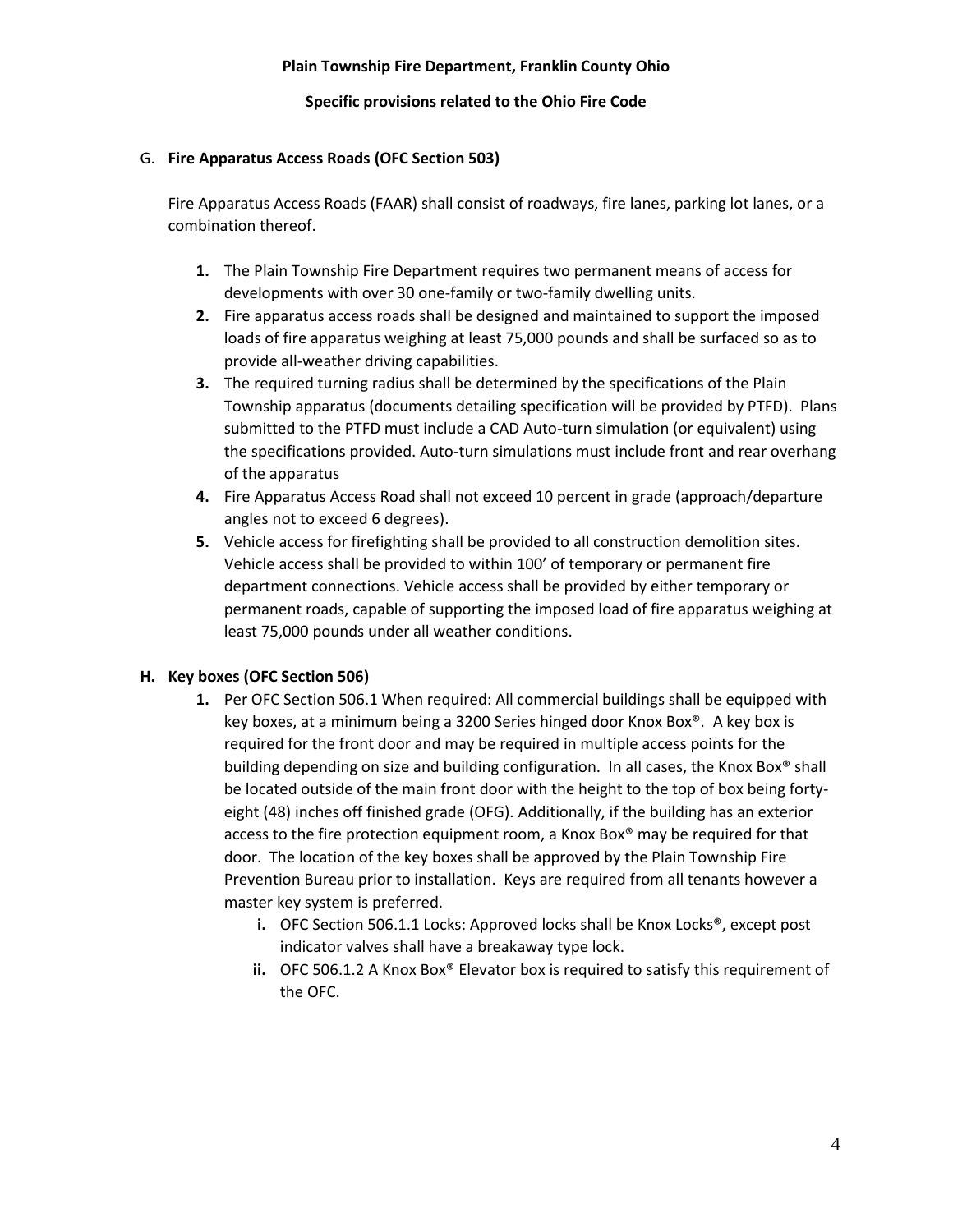#### **Specific provisions related to the Ohio Fire Code**

#### G. **Fire Apparatus Access Roads (OFC Section 503)**

Fire Apparatus Access Roads (FAAR) shall consist of roadways, fire lanes, parking lot lanes, or a combination thereof.

- **1.** The Plain Township Fire Department requires two permanent means of access for developments with over 30 one-family or two-family dwelling units.
- **2.** Fire apparatus access roads shall be designed and maintained to support the imposed loads of fire apparatus weighing at least 75,000 pounds and shall be surfaced so as to provide all-weather driving capabilities.
- **3.** The required turning radius shall be determined by the specifications of the Plain Township apparatus (documents detailing specification will be provided by PTFD). Plans submitted to the PTFD must include a CAD Auto-turn simulation (or equivalent) using the specifications provided. Auto-turn simulations must include front and rear overhang of the apparatus
- **4.** Fire Apparatus Access Road shall not exceed 10 percent in grade (approach/departure angles not to exceed 6 degrees).
- **5.** Vehicle access for firefighting shall be provided to all construction demolition sites. Vehicle access shall be provided to within 100' of temporary or permanent fire department connections. Vehicle access shall be provided by either temporary or permanent roads, capable of supporting the imposed load of fire apparatus weighing at least 75,000 pounds under all weather conditions.

## **H. Key boxes (OFC Section 506)**

- **1.** Per OFC Section 506.1 When required: All commercial buildings shall be equipped with key boxes, at a minimum being a 3200 Series hinged door Knox Box®. A key box is required for the front door and may be required in multiple access points for the building depending on size and building configuration. In all cases, the Knox Box® shall be located outside of the main front door with the height to the top of box being fortyeight (48) inches off finished grade (OFG). Additionally, if the building has an exterior access to the fire protection equipment room, a Knox Box® may be required for that door. The location of the key boxes shall be approved by the Plain Township Fire Prevention Bureau prior to installation. Keys are required from all tenants however a master key system is preferred.
	- **i.** OFC Section 506.1.1 Locks: Approved locks shall be Knox Locks®, except post indicator valves shall have a breakaway type lock.
	- **ii.** OFC 506.1.2 A Knox Box® Elevator box is required to satisfy this requirement of the OFC.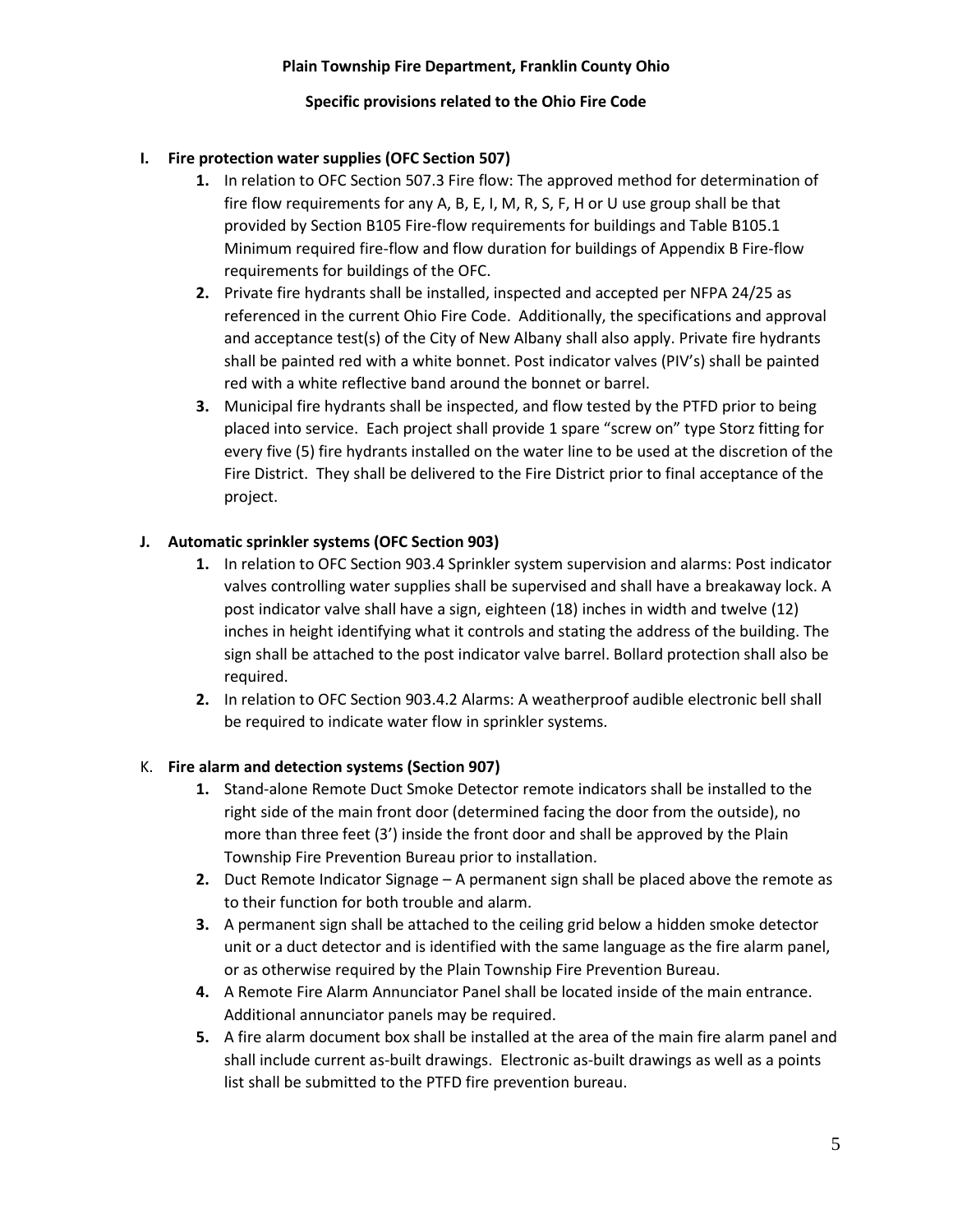#### **Specific provisions related to the Ohio Fire Code**

### **I. Fire protection water supplies (OFC Section 507)**

- **1.** In relation to OFC Section 507.3 Fire flow: The approved method for determination of fire flow requirements for any A, B, E, I, M, R, S, F, H or U use group shall be that provided by Section B105 Fire-flow requirements for buildings and Table B105.1 Minimum required fire-flow and flow duration for buildings of Appendix B Fire-flow requirements for buildings of the OFC.
- **2.** Private fire hydrants shall be installed, inspected and accepted per NFPA 24/25 as referenced in the current Ohio Fire Code. Additionally, the specifications and approval and acceptance test(s) of the City of New Albany shall also apply. Private fire hydrants shall be painted red with a white bonnet. Post indicator valves (PIV's) shall be painted red with a white reflective band around the bonnet or barrel.
- **3.** Municipal fire hydrants shall be inspected, and flow tested by the PTFD prior to being placed into service. Each project shall provide 1 spare "screw on" type Storz fitting for every five (5) fire hydrants installed on the water line to be used at the discretion of the Fire District. They shall be delivered to the Fire District prior to final acceptance of the project.

#### **J. Automatic sprinkler systems (OFC Section 903)**

- **1.** In relation to OFC Section 903.4 Sprinkler system supervision and alarms: Post indicator valves controlling water supplies shall be supervised and shall have a breakaway lock. A post indicator valve shall have a sign, eighteen (18) inches in width and twelve (12) inches in height identifying what it controls and stating the address of the building. The sign shall be attached to the post indicator valve barrel. Bollard protection shall also be required.
- **2.** In relation to OFC Section 903.4.2 Alarms: A weatherproof audible electronic bell shall be required to indicate water flow in sprinkler systems.

## K. **Fire alarm and detection systems (Section 907)**

- **1.** Stand-alone Remote Duct Smoke Detector remote indicators shall be installed to the right side of the main front door (determined facing the door from the outside), no more than three feet (3') inside the front door and shall be approved by the Plain Township Fire Prevention Bureau prior to installation.
- **2.** Duct Remote Indicator Signage A permanent sign shall be placed above the remote as to their function for both trouble and alarm.
- **3.** A permanent sign shall be attached to the ceiling grid below a hidden smoke detector unit or a duct detector and is identified with the same language as the fire alarm panel, or as otherwise required by the Plain Township Fire Prevention Bureau.
- **4.** A Remote Fire Alarm Annunciator Panel shall be located inside of the main entrance. Additional annunciator panels may be required.
- **5.** A fire alarm document box shall be installed at the area of the main fire alarm panel and shall include current as-built drawings. Electronic as-built drawings as well as a points list shall be submitted to the PTFD fire prevention bureau.